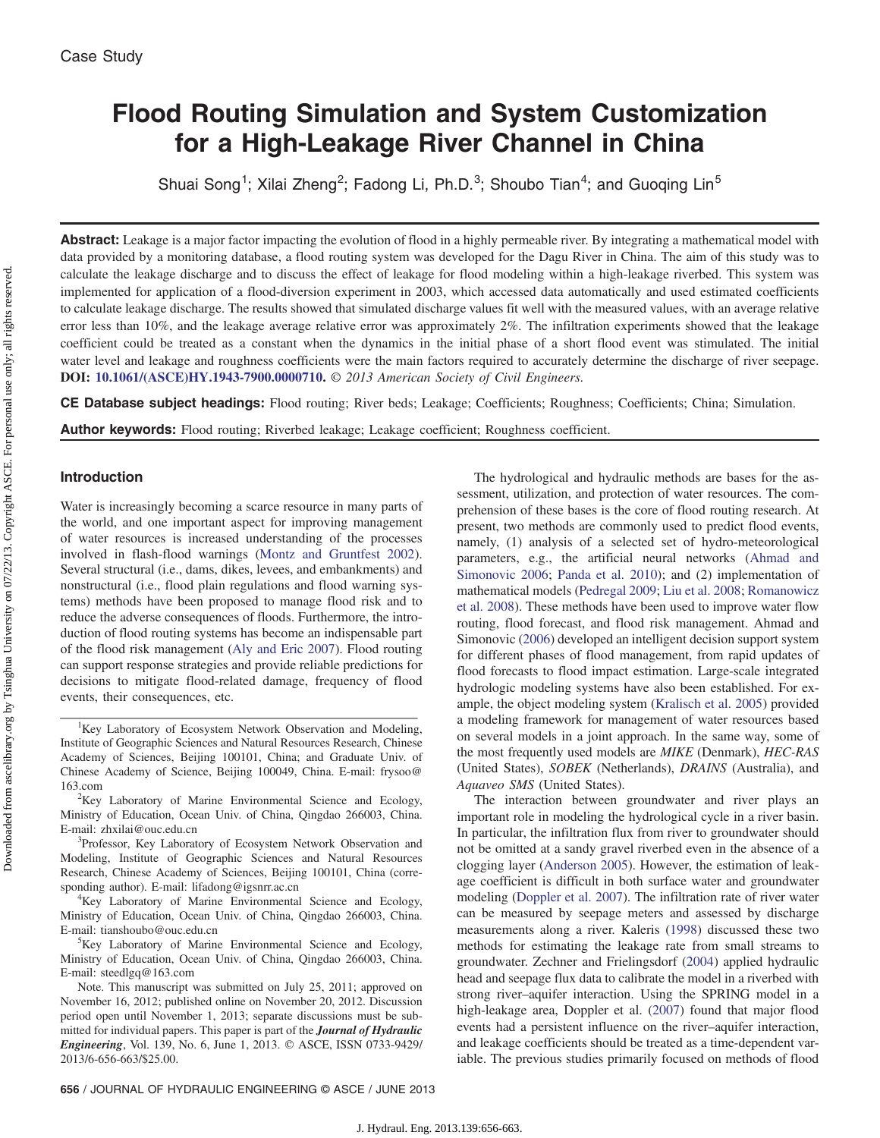# Flood Routing Simulation and System Customization for a High-Leakage River Channel in China

Shuai Song<sup>1</sup>; Xilai Zheng<sup>2</sup>; Fadong Li, Ph.D.<sup>3</sup>; Shoubo Tian<sup>4</sup>; and Guoqing Lin<sup>5</sup>

Abstract: Leakage is a major factor impacting the evolution of flood in a highly permeable river. By integrating a mathematical model with data provided by a monitoring database, a flood routing system was developed for the Dagu River in China. The aim of this study was to calculate the leakage discharge and to discuss the effect of leakage for flood modeling within a high-leakage riverbed. This system was implemented for application of a flood-diversion experiment in 2003, which accessed data automatically and used estimated coefficients to calculate leakage discharge. The results showed that simulated discharge values fit well with the measured values, with an average relative error less than 10%, and the leakage average relative error was approximately 2%. The infiltration experiments showed that the leakage coefficient could be treated as a constant when the dynamics in the initial phase of a short flood event was stimulated. The initial water level and leakage and roughness coefficients were the main factors required to accurately determine the discharge of river seepage. DOI: [10.1061/\(ASCE\)HY.1943-7900.0000710.](http://dx.doi.org/10.1061/(ASCE)HY.1943-7900.0000710) © 2013 American Society of Civil Engineers.

CE Database subject headings: Flood routing; River beds; Leakage; Coefficients; Roughness; Coefficients; China; Simulation.

**Author keywords:** Flood routing; Riverbed leakage; Leakage coefficient; Roughness coefficient.

#### Introduction

Water is increasingly becoming a scarce resource in many parts of the world, and one important aspect for improving management of water resources is increased understanding of the processes involved in flash-flood warnings ([Montz and Gruntfest 2002\)](#page-7-0). Several structural (i.e., dams, dikes, levees, and embankments) and nonstructural (i.e., flood plain regulations and flood warning systems) methods have been proposed to manage flood risk and to reduce the adverse consequences of floods. Furthermore, the introduction of flood routing systems has become an indispensable part of the flood risk management ([Aly and Eric 2007](#page-7-1)). Flood routing can support response strategies and provide reliable predictions for decisions to mitigate flood-related damage, frequency of flood events, their consequences, etc.

The hydrological and hydraulic methods are bases for the assessment, utilization, and protection of water resources. The comprehension of these bases is the core of flood routing research. At present, two methods are commonly used to predict flood events, namely, (1) analysis of a selected set of hydro-meteorological parameters, e.g., the artificial neural networks ([Ahmad and](#page-7-2) [Simonovic 2006;](#page-7-2) [Panda et al. 2010\)](#page-7-3); and (2) implementation of mathematical models [\(Pedregal 2009;](#page-7-4) [Liu et al. 2008;](#page-7-5) [Romanowicz](#page-7-6) [et al. 2008](#page-7-6)). These methods have been used to improve water flow routing, flood forecast, and flood risk management. Ahmad and Simonovic [\(2006](#page-7-2)) developed an intelligent decision support system for different phases of flood management, from rapid updates of flood forecasts to flood impact estimation. Large-scale integrated hydrologic modeling systems have also been established. For example, the object modeling system [\(Kralisch et al. 2005\)](#page-7-7) provided a modeling framework for management of water resources based on several models in a joint approach. In the same way, some of the most frequently used models are MIKE (Denmark), HEC-RAS (United States), SOBEK (Netherlands), DRAINS (Australia), and Aquaveo SMS (United States).

The interaction between groundwater and river plays an important role in modeling the hydrological cycle in a river basin. In particular, the infiltration flux from river to groundwater should not be omitted at a sandy gravel riverbed even in the absence of a clogging layer ([Anderson 2005](#page-7-8)). However, the estimation of leakage coefficient is difficult in both surface water and groundwater modeling ([Doppler et al. 2007\)](#page-7-9). The infiltration rate of river water can be measured by seepage meters and assessed by discharge measurements along a river. Kaleris [\(1998](#page-7-10)) discussed these two methods for estimating the leakage rate from small streams to groundwater. Zechner and Frielingsdorf ([2004\)](#page-7-11) applied hydraulic head and seepage flux data to calibrate the model in a riverbed with strong river–aquifer interaction. Using the SPRING model in a high-leakage area, Doppler et al. [\(2007](#page-7-9)) found that major flood events had a persistent influence on the river–aquifer interaction, and leakage coefficients should be treated as a time-dependent variable. The previous studies primarily focused on methods of flood

<sup>&</sup>lt;sup>1</sup>Key Laboratory of Ecosystem Network Observation and Modeling, Institute of Geographic Sciences and Natural Resources Research, Chinese Academy of Sciences, Beijing 100101, China; and Graduate Univ. of Chinese Academy of Science, Beijing 100049, China. E-mail: frysoo@ 163.com <sup>2</sup>

 ${}^{2}$ Key Laboratory of Marine Environmental Science and Ecology, Ministry of Education, Ocean Univ. of China, Qingdao 266003, China. E-mail: zhxilai@ouc.edu.cn <sup>3</sup>

<sup>&</sup>lt;sup>3</sup>Professor, Key Laboratory of Ecosystem Network Observation and Modeling, Institute of Geographic Sciences and Natural Resources Research, Chinese Academy of Sciences, Beijing 100101, China (corresponding author). E-mail: lifadong@igsnrr.ac.cn

<sup>&</sup>lt;sup>4</sup>Key Laboratory of Marine Environmental Science and Ecology, Ministry of Education, Ocean Univ. of China, Qingdao 266003, China. E-mail: tianshoubo@ouc.edu.cn <sup>5</sup>

<sup>&</sup>lt;sup>5</sup>Key Laboratory of Marine Environmental Science and Ecology, Ministry of Education, Ocean Univ. of China, Qingdao 266003, China. E-mail: steedlgq@163.com

Note. This manuscript was submitted on July 25, 2011; approved on November 16, 2012; published online on November 20, 2012. Discussion period open until November 1, 2013; separate discussions must be submitted for individual papers. This paper is part of the **Journal of Hydraulic** Engineering, Vol. 139, No. 6, June 1, 2013. © ASCE, ISSN 0733-9429/ 2013/6-656-663/\$25.00.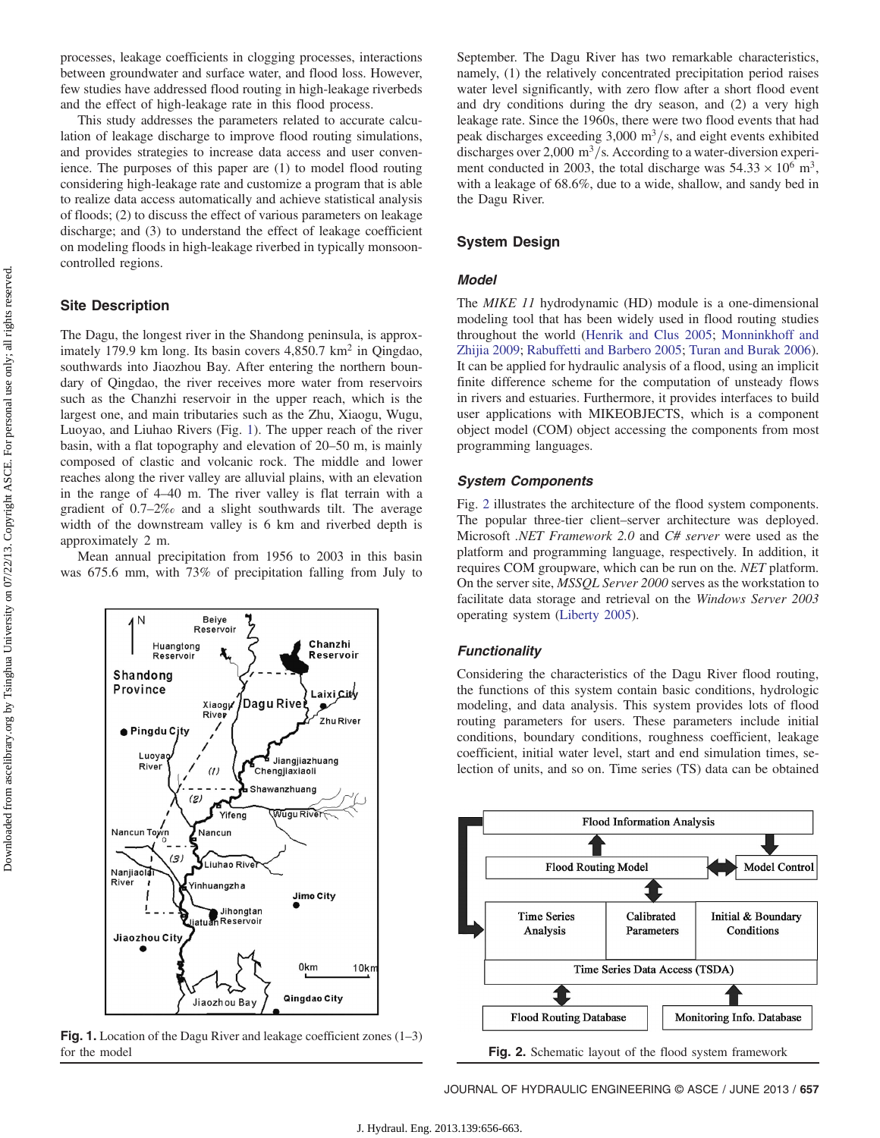processes, leakage coefficients in clogging processes, interactions between groundwater and surface water, and flood loss. However, few studies have addressed flood routing in high-leakage riverbeds and the effect of high-leakage rate in this flood process.

This study addresses the parameters related to accurate calculation of leakage discharge to improve flood routing simulations, and provides strategies to increase data access and user convenience. The purposes of this paper are (1) to model flood routing considering high-leakage rate and customize a program that is able to realize data access automatically and achieve statistical analysis of floods; (2) to discuss the effect of various parameters on leakage discharge; and (3) to understand the effect of leakage coefficient on modeling floods in high-leakage riverbed in typically monsooncontrolled regions.

# Site Description

1 N

Shandong Province

> ● Pingdu Cjty Luoya

> > River

Nancun Town

Nanjiaolai River

Jiaozhou City

The Dagu, the longest river in the Shandong peninsula, is approximately 179.9 km long. Its basin covers 4,850.7 km<sup>2</sup> in Qingdao, southwards into Jiaozhou Bay. After entering the northern boundary of Qingdao, the river receives more water from reservoirs such as the Chanzhi reservoir in the upper reach, which is the largest one, and main tributaries such as the Zhu, Xiaogu, Wugu, Luoyao, and Liuhao Rivers (Fig. [1\)](#page-1-0). The upper reach of the river basin, with a flat topography and elevation of 20–50 m, is mainly composed of clastic and volcanic rock. The middle and lower reaches along the river valley are alluvial plains, with an elevation in the range of 4–40 m. The river valley is flat terrain with a gradient of 0.7–2‰ and a slight southwards tilt. The average width of the downstream valley is 6 km and riverbed depth is approximately 2 m.

<span id="page-1-0"></span>Mean annual precipitation from 1956 to 2003 in this basin was 675.6 mm, with 73% of precipitation falling from July to

Dagu River

Jiangjiazhuang<br>Chengjiaxiaoli

 $\widetilde{\textsf{W} \textsf{u} \textsf{gu} \textsf{R} \textsf{i} \textsf{ve}}$ 

Jimo City

0<sub>km</sub>

Qingdao City

 $10km$ 

Shawanzhuang

Chanzhi

**Reservoir** 

Laixi City

پ Zhu River

Beiye Reservoir

Xiaogy

 $(1)$ 

Nancun

Yifeng

Liuhao River

Jihongtan<br>atuan Reservoir

Jiaozhou Bay

Yinhuangzha

 $(2)$ 

 $(3)$ 

Ð

Huangtong

Reservoir



September. The Dagu River has two remarkable characteristics, namely, (1) the relatively concentrated precipitation period raises water level significantly, with zero flow after a short flood event and dry conditions during the dry season, and (2) a very high leakage rate. Since the 1960s, there were two flood events that had peak discharges exceeding  $3,000 \text{ m}^3/\text{s}$ , and eight events exhibited discharges over 2,000  $\text{m}^3\text{/s}$ . According to a water-diversion experiment conducted in 2003, the total discharge was  $54.33 \times 10^6$  m<sup>3</sup>, with a leakage of 68.6%, due to a wide, shallow, and sandy bed in the Dagu River.

#### System Design

#### Model

The MIKE 11 hydrodynamic (HD) module is a one-dimensional modeling tool that has been widely used in flood routing studies throughout the world ([Henrik and Clus 2005;](#page-7-12) [Monninkhoff and](#page-7-13) [Zhijia 2009;](#page-7-13) [Rabuffetti and Barbero 2005;](#page-7-14) [Turan and Burak 2006\)](#page-7-15). It can be applied for hydraulic analysis of a flood, using an implicit finite difference scheme for the computation of unsteady flows in rivers and estuaries. Furthermore, it provides interfaces to build user applications with MIKEOBJECTS, which is a component object model (COM) object accessing the components from most programming languages.

#### System Components

Fig. [2](#page-1-1) illustrates the architecture of the flood system components. The popular three-tier client–server architecture was deployed. Microsoft .NET Framework 2.0 and C# server were used as the platform and programming language, respectively. In addition, it requires COM groupware, which can be run on the. NET platform. On the server site, MSSQL Server 2000 serves as the workstation to facilitate data storage and retrieval on the Windows Server 2003 operating system [\(Liberty 2005](#page-7-16)).

#### **Functionality**

Considering the characteristics of the Dagu River flood routing, the functions of this system contain basic conditions, hydrologic modeling, and data analysis. This system provides lots of flood routing parameters for users. These parameters include initial conditions, boundary conditions, roughness coefficient, leakage coefficient, initial water level, start and end simulation times, selection of units, and so on. Time series (TS) data can be obtained

<span id="page-1-1"></span>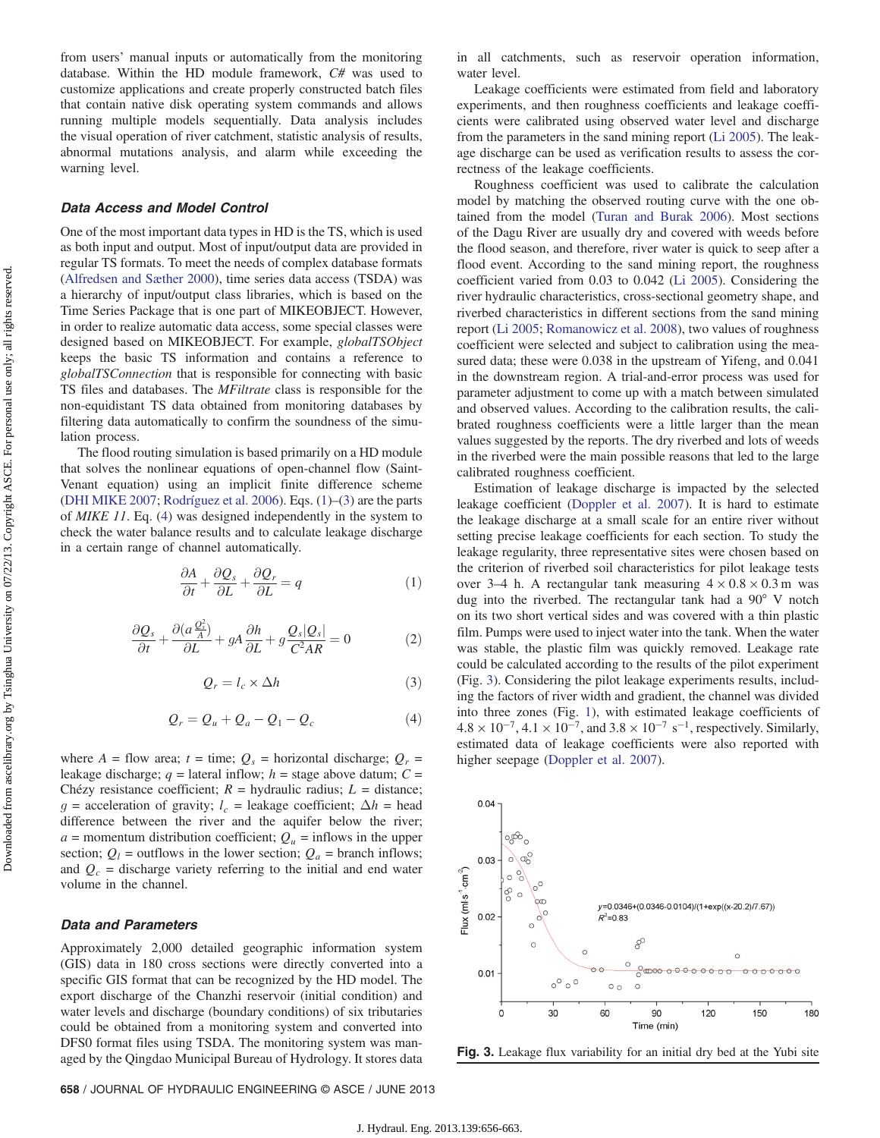from users' manual inputs or automatically from the monitoring database. Within the HD module framework, C# was used to customize applications and create properly constructed batch files that contain native disk operating system commands and allows running multiple models sequentially. Data analysis includes the visual operation of river catchment, statistic analysis of results, abnormal mutations analysis, and alarm while exceeding the warning level.

#### Data Access and Model Control

One of the most important data types in HD is the TS, which is used as both input and output. Most of input/output data are provided in regular TS formats. To meet the needs of complex database formats [\(Alfredsen and Sæther 2000](#page-7-17)), time series data access (TSDA) was a hierarchy of input/output class libraries, which is based on the Time Series Package that is one part of MIKEOBJECT. However, in order to realize automatic data access, some special classes were designed based on MIKEOBJECT. For example, globalTSObject keeps the basic TS information and contains a reference to globalTSConnection that is responsible for connecting with basic TS files and databases. The MFiltrate class is responsible for the non-equidistant TS data obtained from monitoring databases by filtering data automatically to confirm the soundness of the simulation process.

<span id="page-2-0"></span>The flood routing simulation is based primarily on a HD module that solves the nonlinear equations of open-channel flow (Saint-Venant equation) using an implicit finite difference scheme [\(DHI MIKE 2007](#page-7-18); [Rodríguez et al. 2006](#page-7-19)). Eqs. [\(1](#page-2-0))–([3\)](#page-2-1) are the parts of MIKE 11. Eq. [\(4\)](#page-2-2) was designed independently in the system to check the water balance results and to calculate leakage discharge in a certain range of channel automatically.

$$
\frac{\partial A}{\partial t} + \frac{\partial Q_s}{\partial L} + \frac{\partial Q_r}{\partial L} = q \tag{1}
$$

<span id="page-2-1"></span>
$$
\frac{\partial Q_s}{\partial t} + \frac{\partial (a \frac{Q_s^2}{A})}{\partial L} + gA \frac{\partial h}{\partial L} + g \frac{Q_s |Q_s|}{C^2 AR} = 0
$$
 (2)

$$
Q_r = l_c \times \Delta h \tag{3}
$$

$$
Q_r = Q_u + Q_a - Q_1 - Q_c \tag{4}
$$

<span id="page-2-2"></span>where  $A =$  flow area;  $t =$  time;  $Q_s =$  horizontal discharge;  $Q_r =$ leakage discharge;  $q =$  lateral inflow;  $h =$  stage above datum;  $C =$ Chézy resistance coefficient;  $R =$  hydraulic radius;  $L =$  distance; g = acceleration of gravity;  $l_c$  = leakage coefficient;  $\Delta h$  = head difference between the river and the aquifer below the river;  $a =$  momentum distribution coefficient;  $Q_u =$  inflows in the upper section;  $Q_l$  = outflows in the lower section;  $Q_a$  = branch inflows; and  $Q_c$  = discharge variety referring to the initial and end water volume in the channel.

#### Data and Parameters

Approximately 2,000 detailed geographic information system (GIS) data in 180 cross sections were directly converted into a specific GIS format that can be recognized by the HD model. The export discharge of the Chanzhi reservoir (initial condition) and water levels and discharge (boundary conditions) of six tributaries could be obtained from a monitoring system and converted into DFS0 format files using TSDA. The monitoring system was managed by the Qingdao Municipal Bureau of Hydrology. It stores data in all catchments, such as reservoir operation information, water level.

Leakage coefficients were estimated from field and laboratory experiments, and then roughness coefficients and leakage coefficients were calibrated using observed water level and discharge from the parameters in the sand mining report ([Li 2005](#page-7-20)). The leakage discharge can be used as verification results to assess the correctness of the leakage coefficients.

Roughness coefficient was used to calibrate the calculation model by matching the observed routing curve with the one obtained from the model ([Turan and Burak 2006](#page-7-15)). Most sections of the Dagu River are usually dry and covered with weeds before the flood season, and therefore, river water is quick to seep after a flood event. According to the sand mining report, the roughness coefficient varied from 0.03 to 0.042 ([Li 2005\)](#page-7-20). Considering the river hydraulic characteristics, cross-sectional geometry shape, and riverbed characteristics in different sections from the sand mining report ([Li 2005](#page-7-20); [Romanowicz et al. 2008](#page-7-6)), two values of roughness coefficient were selected and subject to calibration using the measured data; these were 0.038 in the upstream of Yifeng, and 0.041 in the downstream region. A trial-and-error process was used for parameter adjustment to come up with a match between simulated and observed values. According to the calibration results, the calibrated roughness coefficients were a little larger than the mean values suggested by the reports. The dry riverbed and lots of weeds in the riverbed were the main possible reasons that led to the large calibrated roughness coefficient.

Estimation of leakage discharge is impacted by the selected leakage coefficient ([Doppler et al. 2007](#page-7-9)). It is hard to estimate the leakage discharge at a small scale for an entire river without setting precise leakage coefficients for each section. To study the leakage regularity, three representative sites were chosen based on the criterion of riverbed soil characteristics for pilot leakage tests over 3–4 h. A rectangular tank measuring  $4 \times 0.8 \times 0.3$  m was dug into the riverbed. The rectangular tank had a 90° V notch on its two short vertical sides and was covered with a thin plastic film. Pumps were used to inject water into the tank. When the water was stable, the plastic film was quickly removed. Leakage rate could be calculated according to the results of the pilot experiment (Fig. [3](#page-2-3)). Considering the pilot leakage experiments results, including the factors of river width and gradient, the channel was divided into three zones (Fig. [1\)](#page-1-0), with estimated leakage coefficients of  $4.8 \times 10^{-7}$ ,  $4.1 \times 10^{-7}$ , and  $3.8 \times 10^{-7}$  s<sup>-1</sup>, respectively. Similarly, estimated data of leakage coefficients were also reported with higher seepage ([Doppler et al. 2007](#page-7-9)).

<span id="page-2-3"></span>

Fig. 3. Leakage flux variability for an initial dry bed at the Yubi site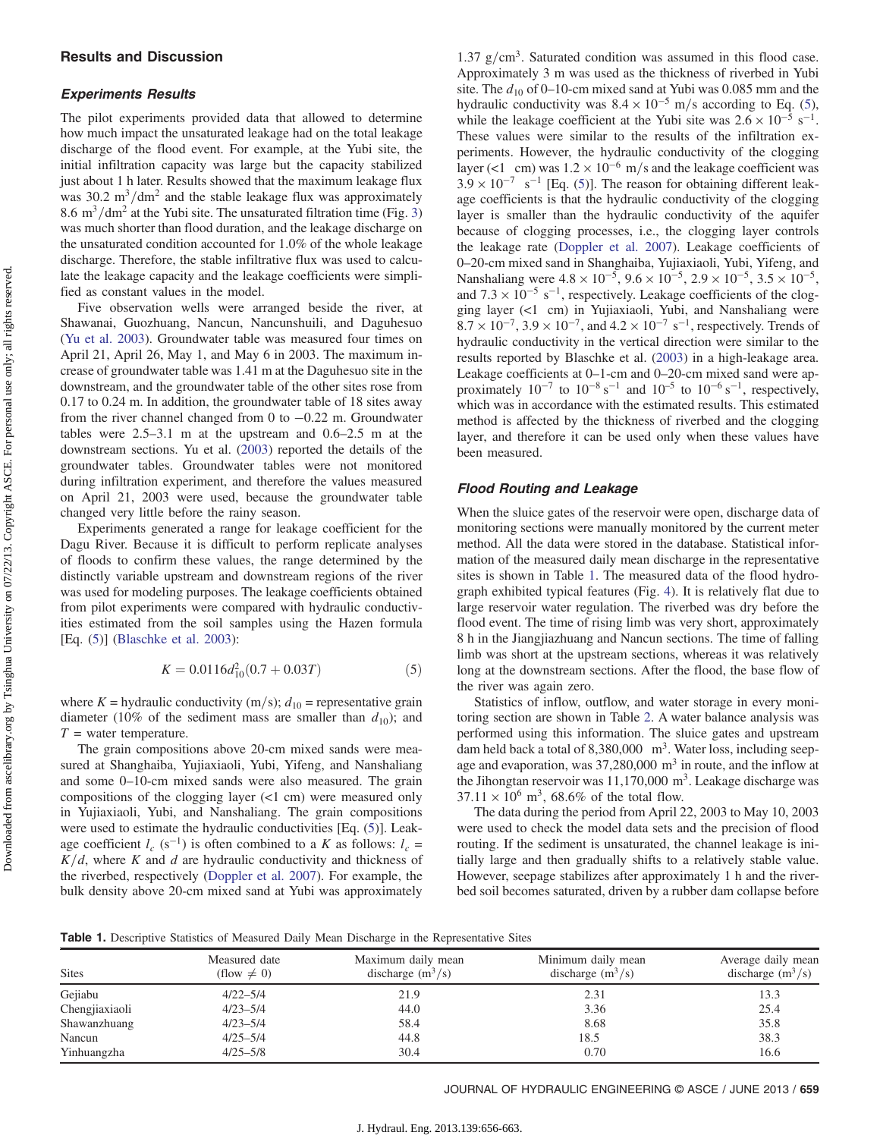#### Experiments Results

The pilot experiments provided data that allowed to determine how much impact the unsaturated leakage had on the total leakage discharge of the flood event. For example, at the Yubi site, the initial infiltration capacity was large but the capacity stabilized just about 1 h later. Results showed that the maximum leakage flux was  $30.2 \text{ m}^3/\text{dm}^2$  and the stable leakage flux was approximately 8.6 m<sup>3</sup>/dm<sup>2</sup> at the Yubi site. The unsaturated filtration time (Fig. [3\)](#page-2-3) was much shorter than flood duration, and the leakage discharge on the unsaturated condition accounted for 1.0% of the whole leakage discharge. Therefore, the stable infiltrative flux was used to calculate the leakage capacity and the leakage coefficients were simplified as constant values in the model.

Five observation wells were arranged beside the river, at Shawanai, Guozhuang, Nancun, Nancunshuili, and Daguhesuo [\(Yu et al. 2003\)](#page-7-21). Groundwater table was measured four times on April 21, April 26, May 1, and May 6 in 2003. The maximum increase of groundwater table was 1.41 m at the Daguhesuo site in the downstream, and the groundwater table of the other sites rose from 0.17 to 0.24 m. In addition, the groundwater table of 18 sites away from the river channel changed from 0 to −0.22 m. Groundwater tables were 2.5–3.1 m at the upstream and 0.6–2.5 m at the downstream sections. Yu et al. ([2003\)](#page-7-21) reported the details of the groundwater tables. Groundwater tables were not monitored during infiltration experiment, and therefore the values measured on April 21, 2003 were used, because the groundwater table changed very little before the rainy season.

Experiments generated a range for leakage coefficient for the Dagu River. Because it is difficult to perform replicate analyses of floods to confirm these values, the range determined by the distinctly variable upstream and downstream regions of the river was used for modeling purposes. The leakage coefficients obtained from pilot experiments were compared with hydraulic conductivities estimated from the soil samples using the Hazen formula [Eq. [\(5](#page-3-0))] ([Blaschke et al. 2003](#page-7-22)):

$$
K = 0.0116d_{10}^2(0.7 + 0.03T)
$$
 (5)

<span id="page-3-0"></span>where K = hydraulic conductivity (m/s);  $d_{10}$  = representative grain diameter (10% of the sediment mass are smaller than  $d_{10}$ ); and  $T =$  water temperature.

The grain compositions above 20-cm mixed sands were measured at Shanghaiba, Yujiaxiaoli, Yubi, Yifeng, and Nanshaliang and some 0–10-cm mixed sands were also measured. The grain compositions of the clogging layer (<1 cm) were measured only in Yujiaxiaoli, Yubi, and Nanshaliang. The grain compositions were used to estimate the hydraulic conductivities [Eq. [\(5\)](#page-3-0)]. Leakage coefficient  $l_c$  (s<sup>-1</sup>) is often combined to a K as follows:  $l_c$  =  $K/d$ , where K and d are hydraulic conductivity and thickness of the riverbed, respectively ([Doppler et al. 2007](#page-7-9)). For example, the bulk density above 20-cm mixed sand at Yubi was approximately

1.37  $g/cm<sup>3</sup>$ . Saturated condition was assumed in this flood case. Approximately 3 m was used as the thickness of riverbed in Yubi site. The  $d_{10}$  of 0–10-cm mixed sand at Yubi was 0.085 mm and the hydraulic conductivity was  $8.4 \times 10^{-5}$  m/s according to Eq. ([5\)](#page-3-0), while the leakage coefficient at the Yubi site was  $2.6 \times 10^{-5}$  s<sup>-1</sup>. These values were similar to the results of the infiltration experiments. However, the hydraulic conductivity of the clogging layer (<1 cm) was  $1.2 \times 10^{-6}$  m/s and the leakage coefficient was  $3.9 \times 10^{-7}$  s<sup>-1</sup> [Eq. [\(5](#page-3-0))]. The reason for obtaining different leakage coefficients is that the hydraulic conductivity of the clogging layer is smaller than the hydraulic conductivity of the aquifer because of clogging processes, i.e., the clogging layer controls the leakage rate ([Doppler et al. 2007\)](#page-7-9). Leakage coefficients of 0–20-cm mixed sand in Shanghaiba, Yujiaxiaoli, Yubi, Yifeng, and Nanshaliang were  $4.8 \times 10^{-5}$ ,  $9.6 \times 10^{-5}$ ,  $2.9 \times 10^{-5}$ ,  $3.5 \times 10^{-5}$ , and  $7.3 \times 10^{-5}$  s<sup>-1</sup>, respectively. Leakage coefficients of the clogging layer (<1 cm) in Yujiaxiaoli, Yubi, and Nanshaliang were  $8.7 \times 10^{-7}$ ,  $3.9 \times 10^{-7}$ , and  $4.2 \times 10^{-7}$  s<sup>-1</sup>, respectively. Trends of hydraulic conductivity in the vertical direction were similar to the results reported by Blaschke et al. ([2003\)](#page-7-22) in a high-leakage area. Leakage coefficients at 0–1-cm and 0–20-cm mixed sand were approximately  $10^{-7}$  to  $10^{-8}$  s<sup>-1</sup> and  $10^{-5}$  to  $10^{-6}$  s<sup>-1</sup>, respectively, which was in accordance with the estimated results. This estimated method is affected by the thickness of riverbed and the clogging layer, and therefore it can be used only when these values have been measured.

#### Flood Routing and Leakage

When the sluice gates of the reservoir were open, discharge data of monitoring sections were manually monitored by the current meter method. All the data were stored in the database. Statistical information of the measured daily mean discharge in the representative sites is shown in Table [1](#page-3-1). The measured data of the flood hydrograph exhibited typical features (Fig. [4\)](#page-4-0). It is relatively flat due to large reservoir water regulation. The riverbed was dry before the flood event. The time of rising limb was very short, approximately 8 h in the Jiangjiazhuang and Nancun sections. The time of falling limb was short at the upstream sections, whereas it was relatively long at the downstream sections. After the flood, the base flow of the river was again zero.

Statistics of inflow, outflow, and water storage in every monitoring section are shown in Table [2.](#page-4-1) A water balance analysis was performed using this information. The sluice gates and upstream dam held back a total of  $8,380,000$  m<sup>3</sup>. Water loss, including seepage and evaporation, was  $37,280,000 \text{ m}^3$  in route, and the inflow at the Jihongtan reservoir was  $11,170,000$  m<sup>3</sup>. Leakage discharge was  $37.11 \times 10^6$  m<sup>3</sup>, 68.6% of the total flow.

The data during the period from April 22, 2003 to May 10, 2003 were used to check the model data sets and the precision of flood routing. If the sediment is unsaturated, the channel leakage is initially large and then gradually shifts to a relatively stable value. However, seepage stabilizes after approximately 1 h and the riverbed soil becomes saturated, driven by a rubber dam collapse before

<span id="page-3-1"></span>Table 1. Descriptive Statistics of Measured Daily Mean Discharge in the Representative Sites

| <b>Sites</b>   | Measured date<br>$\text{(flow} \neq 0)$ | Maximum daily mean<br>discharge $(m^3/s)$ | Minimum daily mean<br>discharge $(m^3/s)$ | Average daily mean<br>discharge $(m^3/s)$ |
|----------------|-----------------------------------------|-------------------------------------------|-------------------------------------------|-------------------------------------------|
| Gejiabu        | $4/22 - 5/4$                            | 21.9                                      | 2.31                                      | 13.3                                      |
| Chengjiaxiaoli | $4/23 - 5/4$                            | 44.0                                      | 3.36                                      | 25.4                                      |
| Shawanzhuang   | $4/23 - 5/4$                            | 58.4                                      | 8.68                                      | 35.8                                      |
| Nancun         | $4/25 - 5/4$                            | 44.8                                      | 18.5                                      | 38.3                                      |
| Yinhuangzha    | $4/25 - 5/8$                            | 30.4                                      | 0.70                                      | 16.6                                      |
|                |                                         |                                           |                                           |                                           |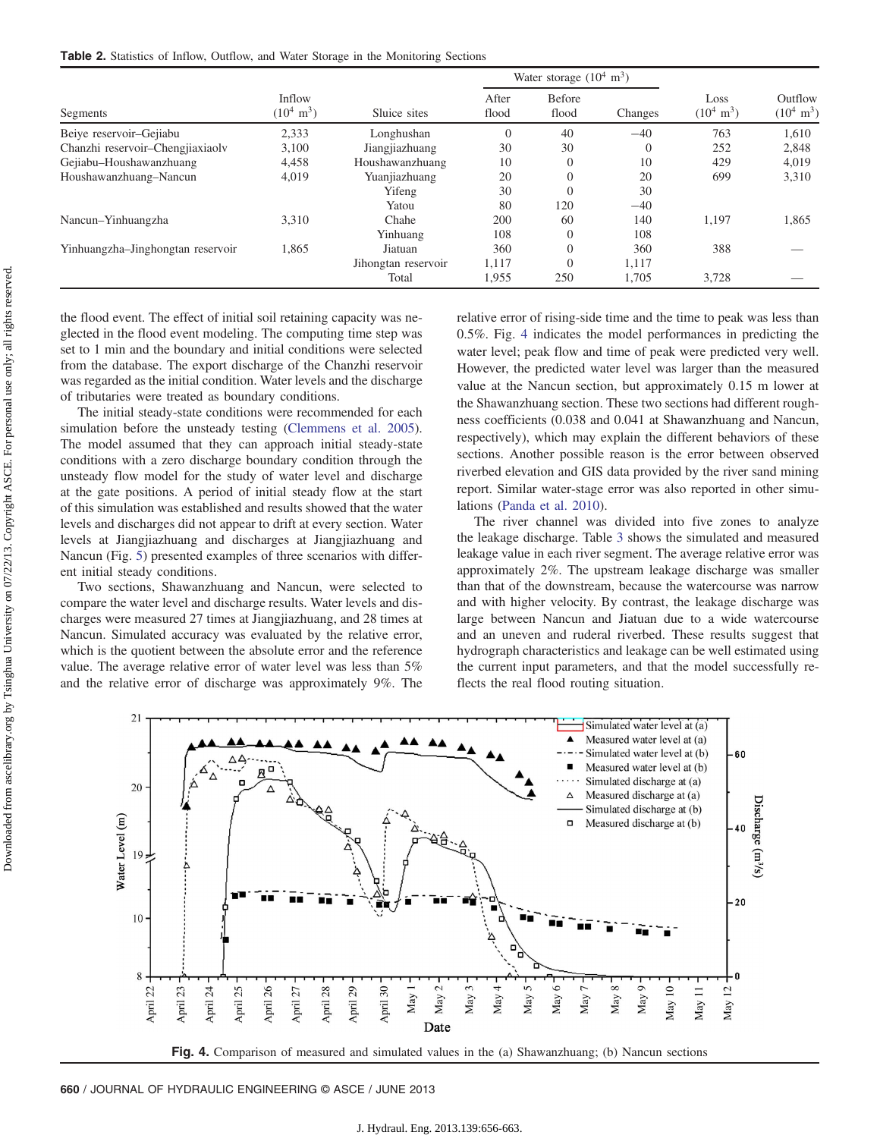<span id="page-4-1"></span>Table 2. Statistics of Inflow, Outflow, and Water Storage in the Monitoring Sections

|                                   |                                |                     | Water storage $(10^4 \text{ m}^3)$ |                 |          |                              |                                 |
|-----------------------------------|--------------------------------|---------------------|------------------------------------|-----------------|----------|------------------------------|---------------------------------|
| Segments                          | Inflow<br>$(10^4 \text{ m}^3)$ | Sluice sites        | After<br>flood                     | Before<br>flood | Changes  | Loss<br>$(10^4 \text{ m}^3)$ | Outflow<br>$(10^4 \text{ m}^3)$ |
| Beiye reservoir-Gejiabu           | 2,333                          | Longhushan          | $\theta$                           | 40              | $-40$    | 763                          | 1,610                           |
| Chanzhi reservoir-Chengjiaxiaolv  | 3,100                          | Jiangjiazhuang      | 30                                 | 30              | $\Omega$ | 252                          | 2,848                           |
| Gejiabu-Houshawanzhuang           | 4,458                          | Houshawanzhuang     | 10                                 | $\overline{0}$  | 10       | 429                          | 4,019                           |
| Houshawanzhuang-Nancun            | 4,019                          | Yuanjiazhuang       | 20                                 | $\overline{0}$  | 20       | 699                          | 3,310                           |
|                                   |                                | Yifeng              | 30                                 | $\overline{0}$  | 30       |                              |                                 |
|                                   |                                | Yatou               | 80                                 | 120             | $-40$    |                              |                                 |
| Nancun–Yinhuangzha                | 3,310                          | Chahe               | 200                                | 60              | 140      | 1,197                        | 1,865                           |
|                                   |                                | Yinhuang            | 108                                | $\overline{0}$  | 108      |                              |                                 |
| Yinhuangzha-Jinghongtan reservoir | 1,865                          | Jiatuan             | 360                                | $\overline{0}$  | 360      | 388                          |                                 |
|                                   |                                | Jihongtan reservoir | 1,117                              | $\theta$        | 1,117    |                              |                                 |
|                                   |                                | Total               | 1,955                              | 250             | 1,705    | 3,728                        |                                 |

the flood event. The effect of initial soil retaining capacity was neglected in the flood event modeling. The computing time step was set to 1 min and the boundary and initial conditions were selected from the database. The export discharge of the Chanzhi reservoir was regarded as the initial condition. Water levels and the discharge of tributaries were treated as boundary conditions.

The initial steady-state conditions were recommended for each simulation before the unsteady testing [\(Clemmens et al. 2005\)](#page-7-23). The model assumed that they can approach initial steady-state conditions with a zero discharge boundary condition through the unsteady flow model for the study of water level and discharge at the gate positions. A period of initial steady flow at the start of this simulation was established and results showed that the water levels and discharges did not appear to drift at every section. Water levels at Jiangjiazhuang and discharges at Jiangjiazhuang and Nancun (Fig. [5](#page-5-0)) presented examples of three scenarios with different initial steady conditions.

Two sections, Shawanzhuang and Nancun, were selected to compare the water level and discharge results. Water levels and discharges were measured 27 times at Jiangjiazhuang, and 28 times at Nancun. Simulated accuracy was evaluated by the relative error, which is the quotient between the absolute error and the reference value. The average relative error of water level was less than 5% and the relative error of discharge was approximately 9%. The relative error of rising-side time and the time to peak was less than 0.5%. Fig. [4](#page-4-0) indicates the model performances in predicting the water level; peak flow and time of peak were predicted very well. However, the predicted water level was larger than the measured value at the Nancun section, but approximately 0.15 m lower at the Shawanzhuang section. These two sections had different roughness coefficients (0.038 and 0.041 at Shawanzhuang and Nancun, respectively), which may explain the different behaviors of these sections. Another possible reason is the error between observed riverbed elevation and GIS data provided by the river sand mining report. Similar water-stage error was also reported in other simulations ([Panda et al. 2010](#page-7-3)).

The river channel was divided into five zones to analyze the leakage discharge. Table [3](#page-5-1) shows the simulated and measured leakage value in each river segment. The average relative error was approximately 2%. The upstream leakage discharge was smaller than that of the downstream, because the watercourse was narrow and with higher velocity. By contrast, the leakage discharge was large between Nancun and Jiatuan due to a wide watercourse and an uneven and ruderal riverbed. These results suggest that hydrograph characteristics and leakage can be well estimated using the current input parameters, and that the model successfully reflects the real flood routing situation.

<span id="page-4-0"></span>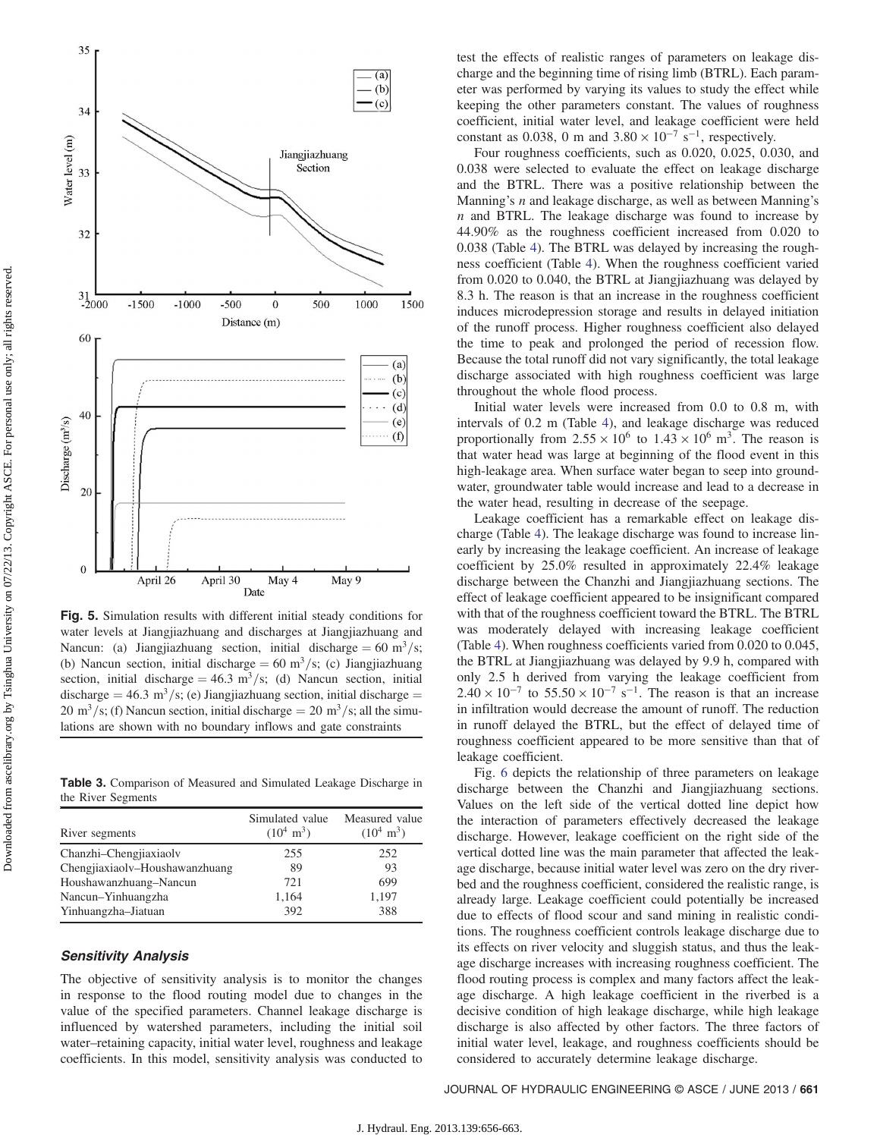<span id="page-5-0"></span>

Fig. 5. Simulation results with different initial steady conditions for water levels at Jiangjiazhuang and discharges at Jiangjiazhuang and Nancun: (a) Jiangjiazhuang section, initial discharge = 60 m<sup>3</sup>/s; (b) Nancun section, initial discharge = 60 m<sup>3</sup>/s; (c) Jiangjiazhuang section, initial discharge =  $46.3 \text{ m}^3/\text{s}$ ; (d) Nancun section, initial discharge = 46.3 m<sup>3</sup>/s; (e) Jiangjiazhuang section, initial discharge = 20 m<sup>3</sup>/s; (f) Nancun section, initial discharge = 20 m<sup>3</sup>/s; all the simulations are shown with no boundary inflows and gate constraints

<span id="page-5-1"></span>Table 3. Comparison of Measured and Simulated Leakage Discharge in the River Segments

| River segments                 | Simulated value<br>$(10^4 \text{ m}^3)$ | Measured value<br>$(10^4 \text{ m}^3)$ |
|--------------------------------|-----------------------------------------|----------------------------------------|
| Chanzhi-Chengjiaxiaolv         | 255                                     | 252                                    |
| Chengjiaxiaolv-Houshawanzhuang | 89                                      | 93                                     |
| Houshawanzhuang-Nancun         | 721                                     | 699                                    |
| Nancun-Yinhuangzha             | 1,164                                   | 1,197                                  |
| Yinhuangzha-Jiatuan            | 392                                     | 388                                    |

### Sensitivity Analysis

The objective of sensitivity analysis is to monitor the changes in response to the flood routing model due to changes in the value of the specified parameters. Channel leakage discharge is influenced by watershed parameters, including the initial soil water–retaining capacity, initial water level, roughness and leakage coefficients. In this model, sensitivity analysis was conducted to test the effects of realistic ranges of parameters on leakage discharge and the beginning time of rising limb (BTRL). Each parameter was performed by varying its values to study the effect while keeping the other parameters constant. The values of roughness coefficient, initial water level, and leakage coefficient were held constant as 0.038, 0 m and  $3.80 \times 10^{-7}$  s<sup>-1</sup>, respectively.

Four roughness coefficients, such as 0.020, 0.025, 0.030, and 0.038 were selected to evaluate the effect on leakage discharge and the BTRL. There was a positive relationship between the Manning's *n* and leakage discharge, as well as between Manning's  $n$  and BTRL. The leakage discharge was found to increase by 44.90% as the roughness coefficient increased from 0.020 to 0.038 (Table [4\)](#page-6-0). The BTRL was delayed by increasing the roughness coefficient (Table [4](#page-6-0)). When the roughness coefficient varied from 0.020 to 0.040, the BTRL at Jiangjiazhuang was delayed by 8.3 h. The reason is that an increase in the roughness coefficient induces microdepression storage and results in delayed initiation of the runoff process. Higher roughness coefficient also delayed the time to peak and prolonged the period of recession flow. Because the total runoff did not vary significantly, the total leakage discharge associated with high roughness coefficient was large throughout the whole flood process.

Initial water levels were increased from 0.0 to 0.8 m, with intervals of 0.2 m (Table [4\)](#page-6-0), and leakage discharge was reduced proportionally from  $2.55 \times 10^6$  to  $1.43 \times 10^6$  m<sup>3</sup>. The reason is that water head was large at beginning of the flood event in this high-leakage area. When surface water began to seep into groundwater, groundwater table would increase and lead to a decrease in the water head, resulting in decrease of the seepage.

Leakage coefficient has a remarkable effect on leakage discharge (Table [4\)](#page-6-0). The leakage discharge was found to increase linearly by increasing the leakage coefficient. An increase of leakage coefficient by 25.0% resulted in approximately 22.4% leakage discharge between the Chanzhi and Jiangjiazhuang sections. The effect of leakage coefficient appeared to be insignificant compared with that of the roughness coefficient toward the BTRL. The BTRL was moderately delayed with increasing leakage coefficient (Table [4\)](#page-6-0). When roughness coefficients varied from 0.020 to 0.045, the BTRL at Jiangjiazhuang was delayed by 9.9 h, compared with only 2.5 h derived from varying the leakage coefficient from  $2.40 \times 10^{-7}$  to  $55.50 \times 10^{-7}$  s<sup>-1</sup>. The reason is that an increase in infiltration would decrease the amount of runoff. The reduction in runoff delayed the BTRL, but the effect of delayed time of roughness coefficient appeared to be more sensitive than that of leakage coefficient.

Fig. [6](#page-6-1) depicts the relationship of three parameters on leakage discharge between the Chanzhi and Jiangjiazhuang sections. Values on the left side of the vertical dotted line depict how the interaction of parameters effectively decreased the leakage discharge. However, leakage coefficient on the right side of the vertical dotted line was the main parameter that affected the leakage discharge, because initial water level was zero on the dry riverbed and the roughness coefficient, considered the realistic range, is already large. Leakage coefficient could potentially be increased due to effects of flood scour and sand mining in realistic conditions. The roughness coefficient controls leakage discharge due to its effects on river velocity and sluggish status, and thus the leakage discharge increases with increasing roughness coefficient. The flood routing process is complex and many factors affect the leakage discharge. A high leakage coefficient in the riverbed is a decisive condition of high leakage discharge, while high leakage discharge is also affected by other factors. The three factors of initial water level, leakage, and roughness coefficients should be considered to accurately determine leakage discharge.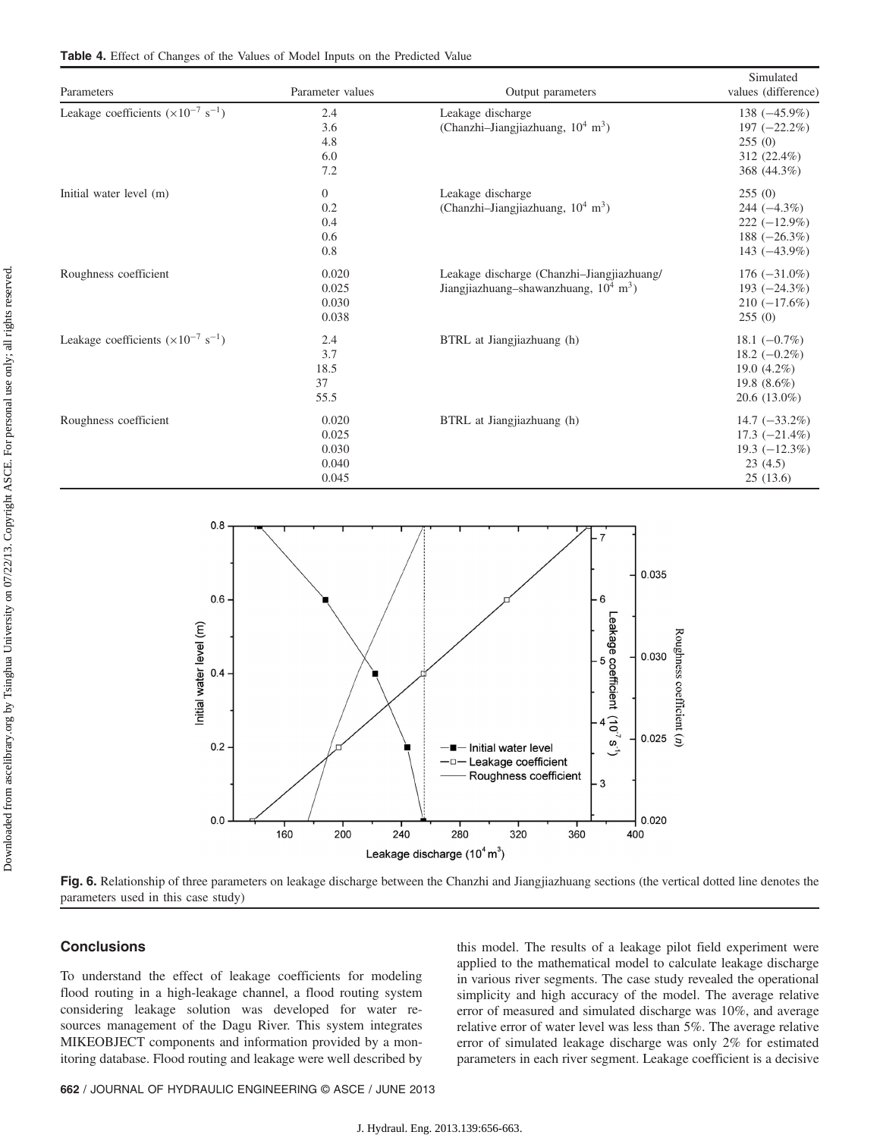<span id="page-6-0"></span>

| Parameters                                             | Parameter values                                 | Output parameters                                                                                  | Simulated<br>values (difference)                                                         |
|--------------------------------------------------------|--------------------------------------------------|----------------------------------------------------------------------------------------------------|------------------------------------------------------------------------------------------|
| Leakage coefficients $(\times 10^{-7} \text{ s}^{-1})$ | 2.4<br>3.6<br>4.8<br>6.0<br>7.2                  | Leakage discharge<br>(Chanzhi-Jiangjiazhuang, $10^4$ m <sup>3</sup> )                              | $138 (-45.9\%)$<br>$197 (-22.2\%)$<br>255(0)<br>312 (22.4%)<br>368 (44.3%)               |
| Initial water level (m)                                | $\boldsymbol{0}$<br>0.2<br>0.4<br>0.6<br>$0.8\,$ | Leakage discharge<br>(Chanzhi-Jiangjiazhuang, 10 <sup>4</sup> m <sup>3</sup> )                     | 255(0)<br>244 $(-4.3\%)$<br>$222 (-12.9\%)$<br>188 $(-26.3\%)$<br>143 $(-43.9\%)$        |
| Roughness coefficient                                  | 0.020<br>0.025<br>0.030<br>0.038                 | Leakage discharge (Chanzhi-Jiangjiazhuang/<br>Jiangjiazhuang-shawanzhuang, $10^4$ m <sup>3</sup> ) | $176 (-31.0\%)$<br>193 $(-24.3\%)$<br>$210 (-17.6\%)$<br>255(0)                          |
| Leakage coefficients $(\times 10^{-7} \text{ s}^{-1})$ | 2.4<br>3.7<br>18.5<br>37<br>55.5                 | BTRL at Jiangjiazhuang (h)                                                                         | 18.1 $(-0.7\%)$<br>$18.2 (-0.2\%)$<br>19.0 $(4.2\%)$<br>19.8 $(8.6\%)$<br>$20.6(13.0\%)$ |
| Roughness coefficient                                  | 0.020<br>0.025<br>0.030<br>0.040<br>0.045        | BTRL at Jiangjiazhuang (h)                                                                         | $14.7 (-33.2\%)$<br>$17.3 (-21.4\%)$<br>$19.3 (-12.3\%)$<br>23(4.5)<br>25(13.6)          |

<span id="page-6-1"></span>

Fig. 6. Relationship of three parameters on leakage discharge between the Chanzhi and Jiangjiazhuang sections (the vertical dotted line denotes the parameters used in this case study)

# **Conclusions**

To understand the effect of leakage coefficients for modeling flood routing in a high-leakage channel, a flood routing system considering leakage solution was developed for water resources management of the Dagu River. This system integrates MIKEOBJECT components and information provided by a monitoring database. Flood routing and leakage were well described by

this model. The results of a leakage pilot field experiment were applied to the mathematical model to calculate leakage discharge in various river segments. The case study revealed the operational simplicity and high accuracy of the model. The average relative error of measured and simulated discharge was 10%, and average relative error of water level was less than 5%. The average relative error of simulated leakage discharge was only 2% for estimated parameters in each river segment. Leakage coefficient is a decisive